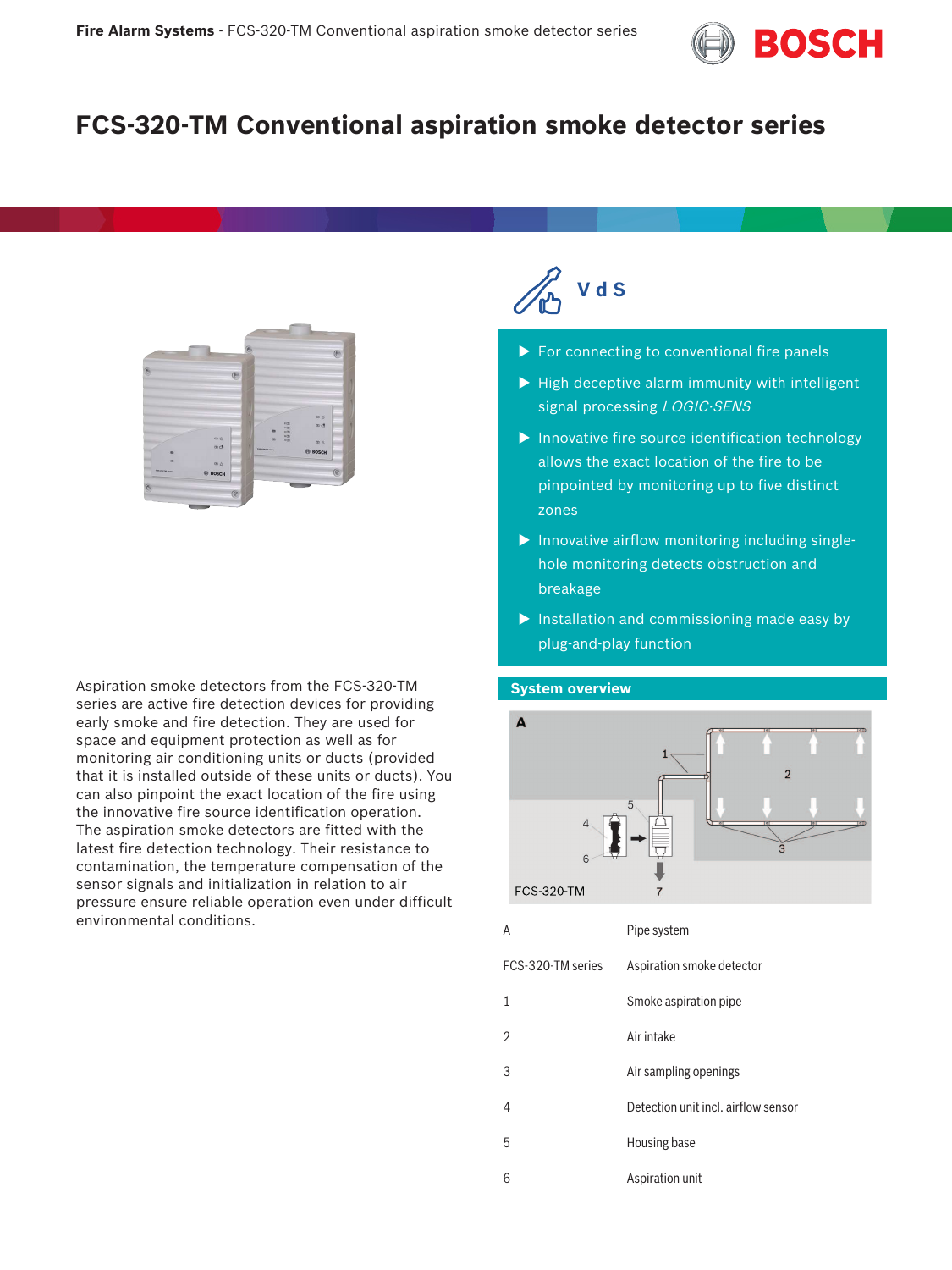

# **FCS-320-TM Conventional aspiration smoke detector series**



Aspiration smoke detectors from the FCS-320-TM series are active fire detection devices for providing early smoke and fire detection. They are used for space and equipment protection as well as for monitoring air conditioning units or ducts (provided that it is installed outside of these units or ducts). You can also pinpoint the exact location of the fire using the innovative fire source identification operation. The aspiration smoke detectors are fitted with the latest fire detection technology. Their resistance to contamination, the temperature compensation of the sensor signals and initialization in relation to air pressure ensure reliable operation even under difficult environmental conditions.



- $\blacktriangleright$  For connecting to conventional fire panels
- $\blacktriangleright$  High deceptive alarm immunity with intelligent signal processing LOGIC·SENS
- $\blacktriangleright$  Innovative fire source identification technology allows the exact location of the fire to be pinpointed by monitoring up to five distinct zones
- $\blacktriangleright$  Innovative airflow monitoring including singlehole monitoring detects obstruction and breakage
- $\blacktriangleright$  Installation and commissioning made easy by plug-and-play function

#### **System overview**



| A                 | Pipe system                         |
|-------------------|-------------------------------------|
| FCS-320-TM series | Aspiration smoke detector           |
| 1                 | Smoke aspiration pipe               |
| 2                 | Air intake                          |
| 3                 | Air sampling openings               |
| 4                 | Detection unit incl. airflow sensor |
| 5                 | Housing base                        |
| 6                 | Aspiration unit                     |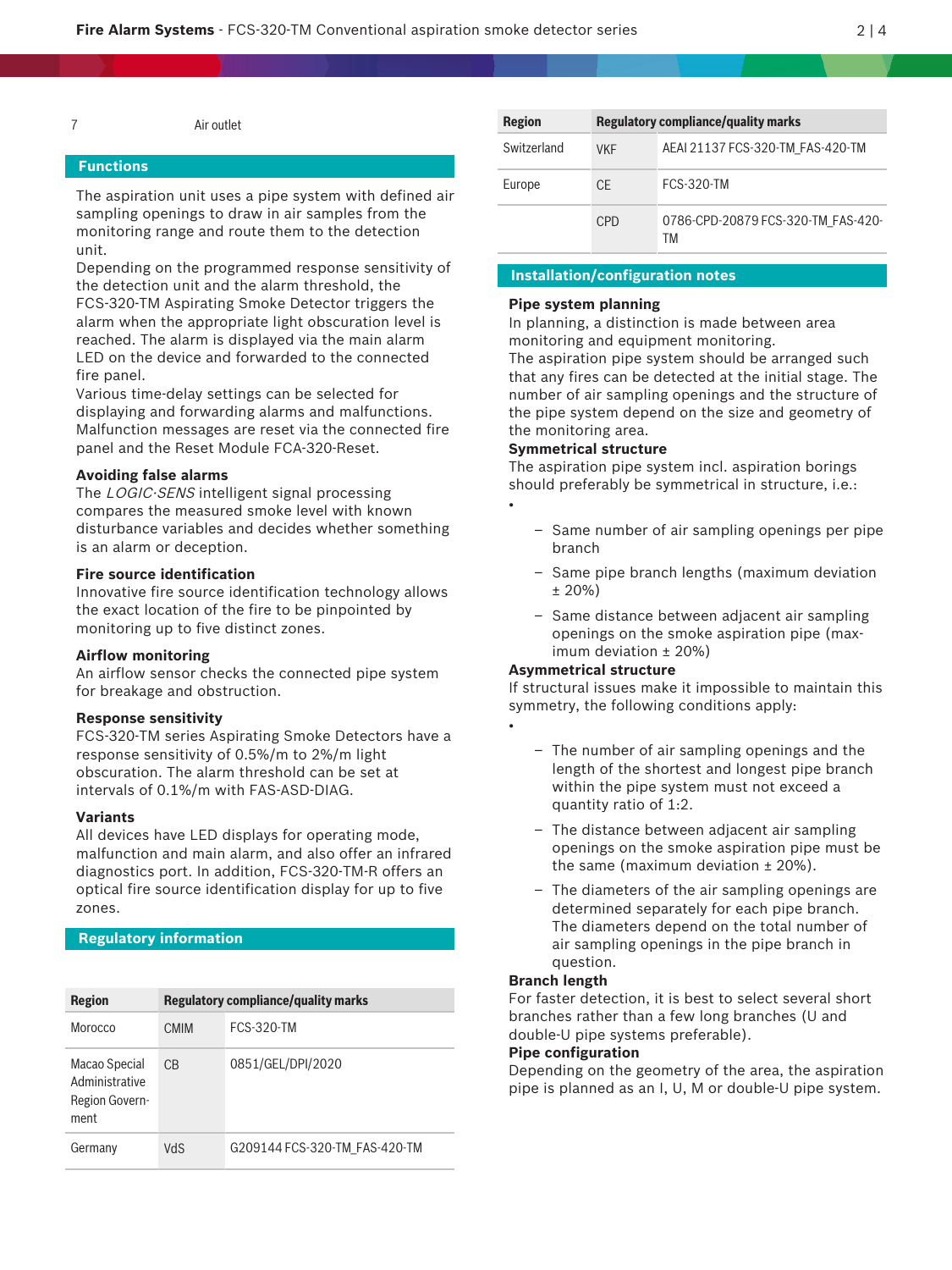7 Air outlet

#### **Functions**

The aspiration unit uses a pipe system with defined air sampling openings to draw in air samples from the monitoring range and route them to the detection unit.

Depending on the programmed response sensitivity of the detection unit and the alarm threshold, the FCS‑320‑TM Aspirating Smoke Detector triggers the alarm when the appropriate light obscuration level is reached. The alarm is displayed via the main alarm LED on the device and forwarded to the connected fire panel.

Various time-delay settings can be selected for displaying and forwarding alarms and malfunctions. Malfunction messages are reset via the connected fire panel and the Reset Module FCA-320-Reset.

#### **Avoiding false alarms**

The LOGIC·SENS intelligent signal processing compares the measured smoke level with known disturbance variables and decides whether something is an alarm or deception.

#### **Fire source identification**

Innovative fire source identification technology allows the exact location of the fire to be pinpointed by monitoring up to five distinct zones.

#### **Airflow monitoring**

An airflow sensor checks the connected pipe system for breakage and obstruction.

#### **Response sensitivity**

FCS‑320‑TM series Aspirating Smoke Detectors have a response sensitivity of 0.5%/m to 2%/m light obscuration. The alarm threshold can be set at intervals of 0.1%/m with FAS‑ASD‑DIAG.

#### **Variants**

All devices have LED displays for operating mode, malfunction and main alarm, and also offer an infrared diagnostics port. In addition, FCS‑320‑TM‑R offers an optical fire source identification display for up to five zones.

#### **Regulatory information**

| <b>Region</b>                                             | <b>Regulatory compliance/quality marks</b> |                               |  |
|-----------------------------------------------------------|--------------------------------------------|-------------------------------|--|
| Morocco                                                   | <b>CMIM</b>                                | <b>FCS-320-TM</b>             |  |
| Macao Special<br>Administrative<br>Region Govern-<br>ment | C <sub>B</sub>                             | 0851/GEL/DPI/2020             |  |
| Germany                                                   | VdS                                        | G209144 FCS-320-TM FAS-420-TM |  |

| <b>Region</b> | <b>Regulatory compliance/quality marks</b> |                                          |  |
|---------------|--------------------------------------------|------------------------------------------|--|
| Switzerland   | <b>VKF</b>                                 | AEAI 21137 FCS-320-TM FAS-420-TM         |  |
| Europe        | CF                                         | <b>FCS-320-TM</b>                        |  |
|               | C <sub>PD</sub>                            | 0786-CPD-20879 FCS-320-TM FAS-420-<br>ТM |  |

#### **Installation/configuration notes**

#### **Pipe system planning**

In planning, a distinction is made between area monitoring and equipment monitoring.

The aspiration pipe system should be arranged such that any fires can be detected at the initial stage. The number of air sampling openings and the structure of the pipe system depend on the size and geometry of the monitoring area.

#### **Symmetrical structure**

The aspiration pipe system incl. aspiration borings should preferably be symmetrical in structure, i.e.: •

- Same number of air sampling openings per pipe branch
- Same pipe branch lengths (maximum deviation ± 20%)
- Same distance between adjacent air sampling openings on the smoke aspiration pipe (maximum deviation ± 20%)

#### **Asymmetrical structure**

•

If structural issues make it impossible to maintain this symmetry, the following conditions apply:

- The number of air sampling openings and the length of the shortest and longest pipe branch within the pipe system must not exceed a quantity ratio of 1:2.
- The distance between adjacent air sampling openings on the smoke aspiration pipe must be the same (maximum deviation  $\pm$  20%).
- The diameters of the air sampling openings are determined separately for each pipe branch. The diameters depend on the total number of air sampling openings in the pipe branch in question.

#### **Branch length**

For faster detection, it is best to select several short branches rather than a few long branches (U and double-U pipe systems preferable).

#### **Pipe configuration**

Depending on the geometry of the area, the aspiration pipe is planned as an I, U, M or double-U pipe system.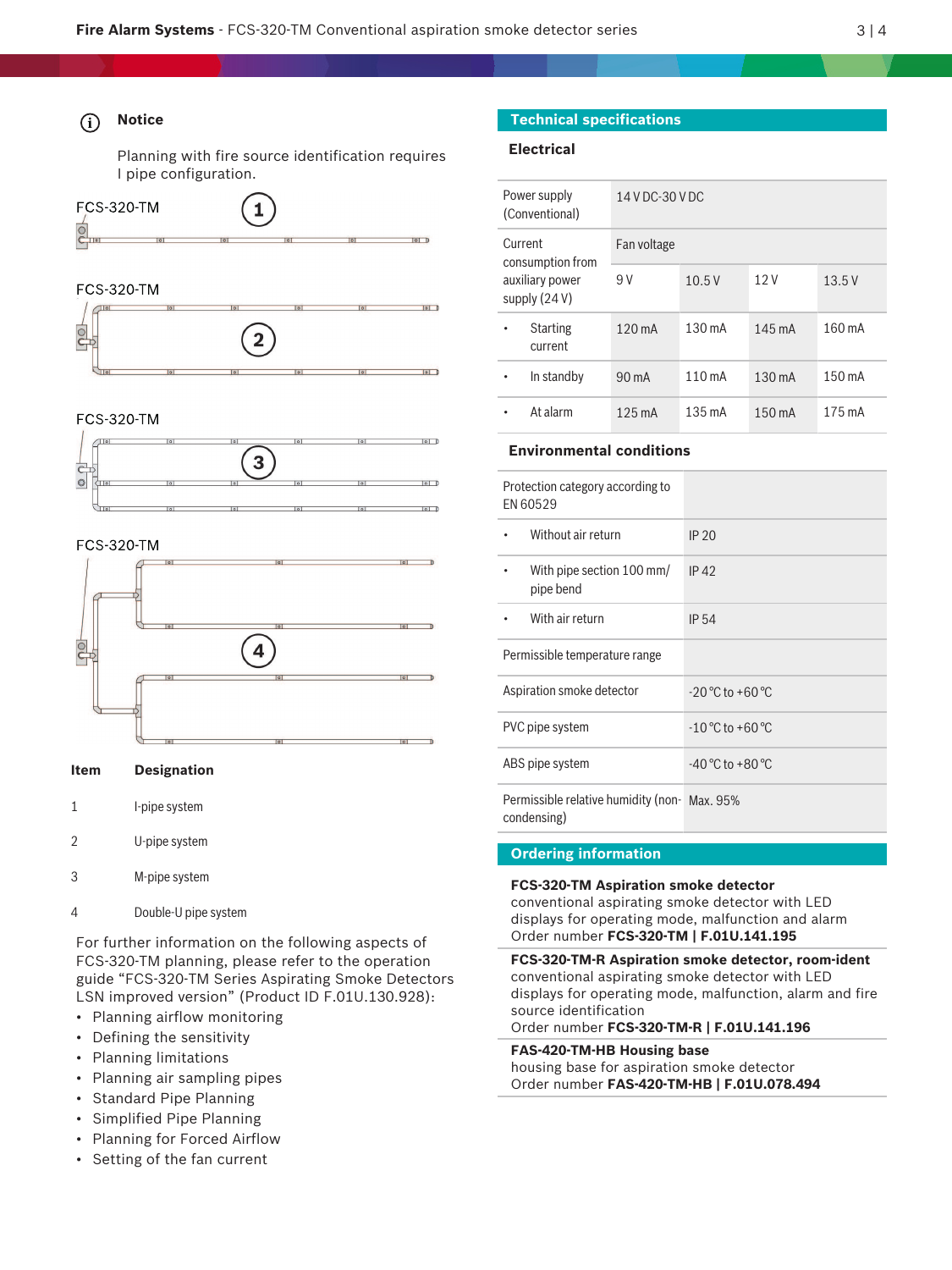$|o|$ 

Planning with fire source identification requires I pipe configuration.



## **FCS-320-TM**



#### **FCS-320-TM**



#### **FCS-320-TM**



#### **Item Designation**

- 1 I-pipe system
- 2 U-pipe system
- 3 M-pipe system
- 4 Double-U pipe system

For further information on the following aspects of FCS‑320‑TM planning, please refer to the operation guide "FCS‑320‑TM Series Aspirating Smoke Detectors LSN improved version" (Product ID F.01U.130.928):

- Planning airflow monitoring
- Defining the sensitivity
- Planning limitations
- Planning air sampling pipes
- Standard Pipe Planning
- Simplified Pipe Planning
- Planning for Forced Airflow
- Setting of the fan current

## **Technical specifications**

### **Electrical**

|                                                                   | Power supply<br>(Conventional) | 14 V DC-30 V DC  |                  |                  |        |
|-------------------------------------------------------------------|--------------------------------|------------------|------------------|------------------|--------|
| Current<br>consumption from<br>auxiliary power<br>supply $(24 V)$ | Fan voltage                    |                  |                  |                  |        |
|                                                                   | 9 V                            | 10.5V            | 12V              | 13.5V            |        |
|                                                                   | <b>Starting</b><br>current     | $120 \text{ mA}$ | $130 \text{ mA}$ | 145 mA           | 160 mA |
|                                                                   | In standby                     | $90 \text{ mA}$  | 110 mA           | $130 \text{ mA}$ | 150 mA |
|                                                                   | At alarm                       | 125 mA           | $135 \text{ mA}$ | 150 mA           | 175 mA |

#### **Environmental conditions**

| Protection category according to<br>EN 60529                |                                    |
|-------------------------------------------------------------|------------------------------------|
| Without air return                                          | IP 20                              |
| With pipe section 100 mm/<br>pipe bend                      | IP 42                              |
| With air return                                             | <b>IP 54</b>                       |
| Permissible temperature range                               |                                    |
| Aspiration smoke detector                                   | $-20^{\circ}$ C to $+60^{\circ}$ C |
| PVC pipe system                                             | $-10^{\circ}$ C to $+60^{\circ}$ C |
| ABS pipe system                                             | $-40^{\circ}$ C to $+80^{\circ}$ C |
| Permissible relative humidity (non-Max. 95%)<br>condensing) |                                    |

#### **Ordering information**

**FCS-320-TM Aspiration smoke detector** conventional aspirating smoke detector with LED displays for operating mode, malfunction and alarm Order number **FCS-320-TM | F.01U.141.195**

**FCS-320-TM-R Aspiration smoke detector, room-ident** conventional aspirating smoke detector with LED displays for operating mode, malfunction, alarm and fire source identification Order number **FCS-320-TM-R | F.01U.141.196**

**FAS-420-TM-HB Housing base** housing base for aspiration smoke detector Order number **FAS-420-TM-HB | F.01U.078.494**